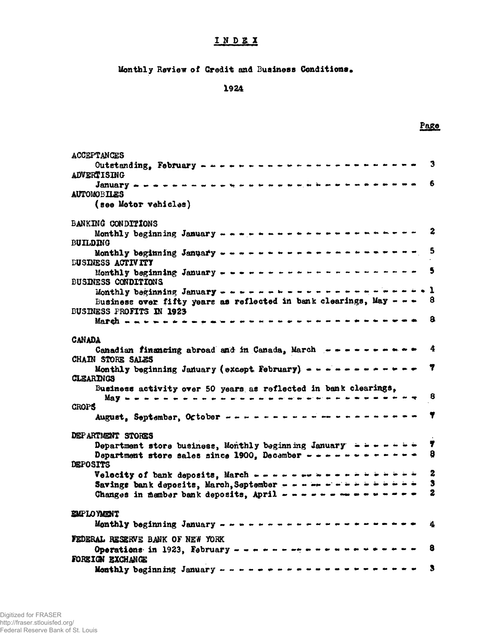# INDEX

Monthly Review of Credit and Business Conditions.

1924

Page

| ACCEPTANCES                                                                                                                                                                                                     | 3                                |
|-----------------------------------------------------------------------------------------------------------------------------------------------------------------------------------------------------------------|----------------------------------|
| <b>ADVERTISING</b>                                                                                                                                                                                              |                                  |
|                                                                                                                                                                                                                 | 6                                |
| <b>AUTOMOBILES</b><br>(see Motor vehicles)                                                                                                                                                                      |                                  |
|                                                                                                                                                                                                                 |                                  |
| BANKING CONDITIONS                                                                                                                                                                                              | $\mathbf{2}$                     |
| <b>BUILDING</b><br>Monthly beginning January ----------------------                                                                                                                                             | 5                                |
| <b>DUSINESS ACTIVITY</b>                                                                                                                                                                                        |                                  |
| Monthly beginning January - ----------------------<br><b>BUSINESS CONDITIONS</b>                                                                                                                                | $\mathbf{s}$                     |
|                                                                                                                                                                                                                 |                                  |
| Business over fifty years as reflected in bank clearings, May $ -$<br><b>BUSINESS PROFITS IN 1923</b>                                                                                                           | 8                                |
| March ……………………………………………………………………                                                                                                                                                                                | 8                                |
| <b>CANADA</b>                                                                                                                                                                                                   |                                  |
| Canadian financing abroad and in Canada, March ----------                                                                                                                                                       | 4                                |
| CHAIN STORE SALES<br>Monthly beginning January (except February) $- - - - - - - - - -$                                                                                                                          | Y                                |
| <b>CLEARINGS</b>                                                                                                                                                                                                |                                  |
| Business activity over 50 years as reflected in bank clearings,                                                                                                                                                 | 8                                |
| <b>CROPS</b>                                                                                                                                                                                                    |                                  |
|                                                                                                                                                                                                                 | T                                |
| DEPARTMENT STORES                                                                                                                                                                                               |                                  |
| Department store business, Monthly beginning January $\rightarrow$ $\rightarrow$ $\rightarrow$ $\rightarrow$ $\rightarrow$ $\rightarrow$<br>Department store sales since 1900, December - - - - - - - - - - - - | 7<br>8                           |
| DEPOSITS                                                                                                                                                                                                        |                                  |
| Velocity of bank deposits, March - - - - - - - - - - - - - - - -<br>Savings bank deposits, March, September - - - - - - - - - - - - - - - -                                                                     | $\boldsymbol{2}$<br>$\mathbf{3}$ |
| Changes in member bank deposits, April - - - - - - - - - - - - - - -                                                                                                                                            | 2                                |
| EMPLOYMENT                                                                                                                                                                                                      |                                  |
|                                                                                                                                                                                                                 | 4                                |
| FEDERAL RESERVE BANK OF NEW YORK                                                                                                                                                                                |                                  |
| FOREIGN EXCHANGE                                                                                                                                                                                                | 8                                |
|                                                                                                                                                                                                                 | 3                                |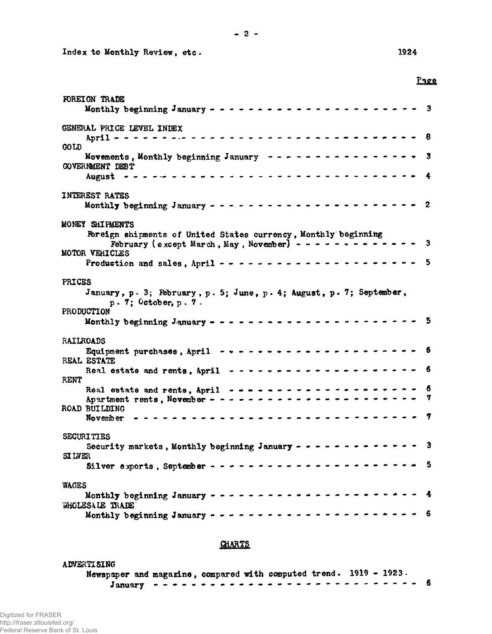Index to Monthly Review, etc. 1924

Page

| FOREIGN TRADE                                                                                                              |   |
|----------------------------------------------------------------------------------------------------------------------------|---|
| GENERAL PRICE LEVEL INDEX                                                                                                  | 8 |
| <b>GOLD</b>                                                                                                                |   |
| Movements, Monthly beginning January ----------------<br><b>GOVERNMENT DEBT</b>                                            | 3 |
| August <b>**********************************</b>                                                                           |   |
| <b>INTEREST RATES</b>                                                                                                      | 2 |
|                                                                                                                            |   |
| MONEY SHIFMENTS                                                                                                            |   |
| Foreign shipments of United States currency, Monthly beginning<br>February (except March, May, November) - - - - - - - - - | 3 |
| MOTOR VEHICLES                                                                                                             | 5 |
| <b>PRICES</b>                                                                                                              |   |
| January, p. 3; February, p. 5; June, p. 4; August, p. 7; September,<br>$p. 7$ ; October, $p. 7$ .                          |   |
| PRODUCTION                                                                                                                 |   |
|                                                                                                                            |   |
| <b>RAILROADS</b>                                                                                                           |   |
| REAL ESTATE                                                                                                                |   |
| Real estate and rents, April $- - - - - - - - - - - - - - - - - - - - - -$<br><b>RENT</b>                                  | 6 |
| Real estate and rents, April --------------------                                                                          | 6 |
| <b>ROAD BUILDING</b>                                                                                                       | 7 |
| ---------------------------<br>November                                                                                    | 7 |
| <b>SECURITIES</b>                                                                                                          |   |
| Security markets, Monthly beginning January - - - - - - - - - -<br><b>SI LVER</b>                                          |   |
| Silver exports, September - - - - - - - - - - - - -                                                                        | 5 |
| <b>WAGES</b>                                                                                                               |   |
| Monthly beginning January - - - - - - - - - - - - - - - - - -<br>WHOLESALE TRADE                                           | 4 |
| Monthly beginning January $- - -$                                                                                          |   |

## **CHARTS**

<span id="page-1-0"></span>

| <b>ADVERTI SING</b> |  |                                                                    |  |
|---------------------|--|--------------------------------------------------------------------|--|
|                     |  | Newspaper and magazine, compared with computed trend. 1919 - 1923. |  |
|                     |  |                                                                    |  |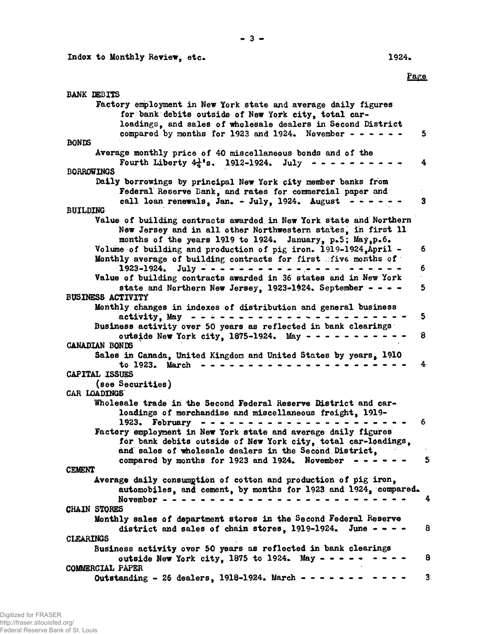Factory employment in New York state and average daily figures for bank debits outside of New York city, total car-

Average monthly price of 40 miscellaneous bonds and of the

Daily borrowings by principal New York city member banks from

Federal Reserve Bank, and rates for commercial paper and

Value of building contracts awarded in New York state and Northern New Jersey and in all other Northwestern states, in first 11 months of the years 1919 to 1924. January,  $p_*5$ ; May, $p_*6$ . Volume of building and production of pig iron.  $1919-1924$ , April  $-$  6

Monthly average of building contracts for first . five months of

Value of building contracts awarded in 36 states and in New York

Monthly changes in indexes of distribution and general business

loadings, and sales of wholesale dealers in Second District compared by months for 1923 and 1924. November  $- - - - - - 5$ 

Fourth Liberty  $4\frac{1}{4}$ \*s. 1912-1924. July - - - - - - - - - - 4

call loan renewals, Jan. - July, 1924. August  $- - - - - - 3$ 

1923-1924. July - - - - - - - - - - - - - - - - - - - - - 6

state and Northern New Jersey,  $1923-1924$ . September - - - - 5

activity, May  $- - - - - - - - - - - - - - - - - - 5$ 

outside New York city,  $1875-1924$ . May  $- - - - - - - - - - - - 8$ 

# CANADIAN BONDS

BUSINESS ACTIVITY

BANK DEBITS

BORROWINGS

BUILDING

BONDS

#### Sales in Canada, United Kingdom and United States by years, 1910 to 1923. March - - - - - - - - - - - - - - - - - - - - - - 4 CAPITAL ISSUES (see Securities)

# CAR LOADINGS

#### Wholesale trade in the Second Federal Reserve District and carloadings of merchandise and miscellaneous freight, 1919-1923. February - - - - - - - - - - - - - - - - - - - - - - 6 Factory employment in New York state and average daily figures for bank debits outside of New York city, total car-loadings, and sales of wholesale dealers in the Second District, compared by months for 1923 and 1924. November  $- - - - - - 5$

## **CEMENT**

Average daily consumption of cotton and production of pig iron, automobiles, and cement, by months for 1923 and 1924, compared. November - - - - - - - - - - - - - - - - - - - - - -------- - - 4 CHAIN STORES Monthly sales of department stores in the Second Federal Reserve district and sales of chain stores,  $1919-1924$ . June - - - - 8 CLEARINGS Business activity over 50 years as reflected in bank clearings outside New York city,  $1875$  to  $1924$ . May  $- - - - - - - - - - 8$ 

## COMMERCIAL PAPER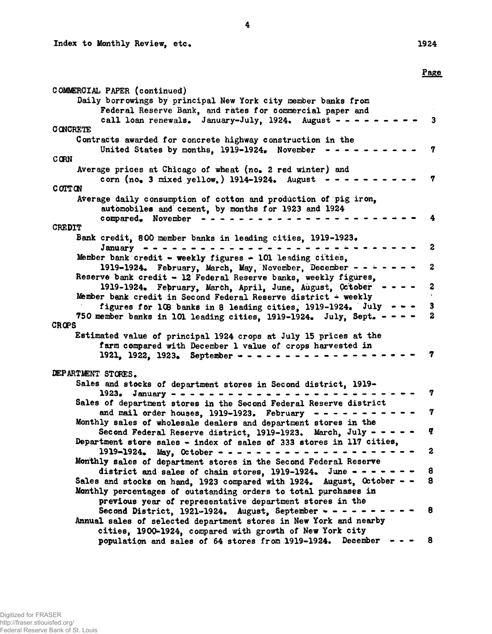### Page

| COMMERCIAL PAPER (continued)                                           |                         |
|------------------------------------------------------------------------|-------------------------|
| Daily borrowings by principal New York city member banks from          |                         |
| Federal Reserve Bank, and rates for commercial paper and               |                         |
| call loan renewals. January-July, 1924. August - -                     |                         |
| <b>CONCRETE</b>                                                        |                         |
| Contracts awarded for concrete highway construction in the             |                         |
| United States by months, 1919-1924. November -                         | 7                       |
| <b>CORN</b>                                                            |                         |
| Average prices at Chicago of wheat (no. 2 red winter) and              |                         |
| corn $(no_*$ 3 mixed yellow, ) 1914-1924. August                       | 7                       |
| COTTON                                                                 |                         |
| Average daily consumption of cotton and production of pig iron,        |                         |
| automobiles and cement, by months for 1923 and 1924                    |                         |
| compared. November                                                     |                         |
| <b>CREDIT</b>                                                          |                         |
|                                                                        |                         |
| Bank credit, 800 member banks in leading cities, 1919-1923.            | 2                       |
| January -                                                              |                         |
| Member bank credit - weekly figures $-101$ leading cities,             |                         |
| 1919-1924. February, March, May, November, December - -                | $\boldsymbol{2}$        |
| Reserve bank credit - 12 Federal Reserve banks, weekly figures,        |                         |
| 1919-1924. February, March, April, June, August, October - - -         | $\boldsymbol{z}$        |
| Member bank credit in Second Federal Reserve district - weekly         |                         |
| figures for 108 banks in 8 leading cities, 1919-1924. July - - -       | $\overline{\mathbf{3}}$ |
| 750 member banks in 101 leading cities, 1919-1924. July, Sept. - - -   | $\overline{\mathbf{z}}$ |
| <b>CROPS</b>                                                           |                         |
| Estimated value of principal 1924 crops at July 15 prices at the       |                         |
| farm compared with December 1 value of crops harvested in              |                         |
| 1921, 1922, 1923. September - - - - -                                  |                         |
|                                                                        |                         |
| DEPARTMENT STORES.                                                     |                         |
| Sales and stocks of department stores in Second district, 1919-        |                         |
| 1923. January - $-$                                                    | 7                       |
| Sales of department stores in the Second Federal Reserve district      |                         |
| and mail order houses, 1919-1923. February                             | 7                       |
| Monthly sales of wholesale dealers and department stores in the        |                         |
| Second Federal Reserve district, 1919-1923. March, July - -            | ą                       |
| Department store sales - index of sales of 333 stores in 117 cities,   |                         |
| $1919 - 1924$ . May, October - - - - - .                               | 2                       |
| Monthly sales of department stores in the Second Federal Reserve       |                         |
| district and sales of chain stores, 1919-1924. June -                  | 8                       |
| Sales and stocks on hand, 1923 compared with 1924. August, October - - | $\bf{8}$                |
| Monthly percentages of outstanding orders to total purchases in        |                         |
| previous year of representative department stores in the               |                         |
| Second District, $1921-1924$ . August, September $- - -$               | 8                       |
| Annual sales of selected department stores in New York and nearby      |                         |
| cities, 1900-1924, compared with growth of New York city               |                         |
| population and sales of 64 stores from 1919-1924. December             | 8                       |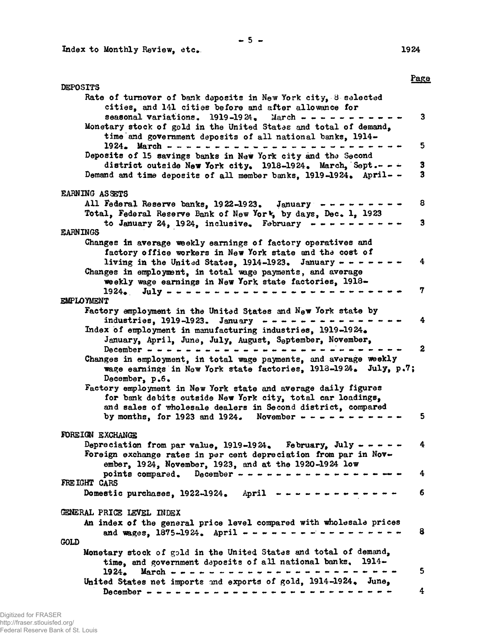Index to Monthly Review, etc

1924

|                                                                                                                                                                                               | Page |
|-----------------------------------------------------------------------------------------------------------------------------------------------------------------------------------------------|------|
| <b>DEPOSITS</b><br>Rate of turnover of bank deposits in New York city, 8 selected                                                                                                             |      |
| cities, and 141 cities before and after allowance for<br>seasonal variations. $1919-1924$ . March - - - - - - -<br>Monetary stock of gold in the United States and total of demand,           | 3    |
| time and government deposits of all national banks, 1914-<br>$1924.$ March - - - - - - - - - - - -                                                                                            | 5    |
| Deposits of 15 savings banks in New York city and the Second<br>district outside New York city. 1918-1924. March, Sept. $ -$                                                                  | 3    |
| Demand and time deposits of all member banks. 1919-1924. April- -                                                                                                                             | 3    |
| <b>EARNING ASSETS</b><br>All Federal Reserve banks, $1922-1923$ . January - - - - .                                                                                                           | 8    |
| Total, Federal Reserve Bank of New York, by days, Dec. 1, 1923                                                                                                                                |      |
| to January 24, 1924, inclusive. February $- - - - -$<br><b>EARNINGS</b>                                                                                                                       | 3    |
| Changes in average weekly earnings of factory operatives and                                                                                                                                  |      |
| factory office workers in New York state and the cost of<br>living in the United States, 1914-1923. January - - - -                                                                           | 4    |
| Changes in employment, in total wage payments, and average<br>weekly wage earnings in New York state factories, 1918-                                                                         |      |
| $1924.$ July - - - - - - - -                                                                                                                                                                  | 7    |
| <b>EMPLOYMENT</b>                                                                                                                                                                             |      |
| Factory employment in the United States and New York state by<br>industries, 1919-1923. January $- - - - - - - -$                                                                             | 4    |
| Index of employment in manufacturing industries, 1919-1924.<br>January, April, June, July, August, September, November,                                                                       |      |
| December $- -$                                                                                                                                                                                | 2    |
| Changes in employment, in total wage payments, and average weekly<br>wage earnings in New York state factories, 1913-1924. July, p.7;<br>December, p.6.                                       |      |
| Factory employment in New York state and average daily figures                                                                                                                                |      |
| for bank debits outside New York city, total car loadings,<br>and sales of wholesale dealers in Second district, compared                                                                     |      |
| by months, for 1923 and 1924. November $- - - - - -$                                                                                                                                          | 5.   |
| FOREIGN EXCHANGE                                                                                                                                                                              |      |
| Depreciation from par value, 1919-1924. February, July - - - - -<br>Foreign exchange rates in per cent depreciation from par in Nov-<br>ember, 1924, November, 1923, and at the 1920-1924 low | 4    |
| points compared. December - - - - - - - - - - - - - - - - -<br>FREIGHT CARS                                                                                                                   | 4    |
| Domestic purchases, $1922-1924$ . April -------------                                                                                                                                         | 6    |
| GENERAL PRICE LEVEL INDEX                                                                                                                                                                     |      |
| An index of the general price level compared with wholesale prices<br>and wages, $1875-1924$ . April $\cdots$ $\cdots$ $\cdots$ $\cdots$ $\cdots$ $\cdots$ $\cdots$ $\cdots$ $\cdots$         | 8    |
| <b>GOLD</b>                                                                                                                                                                                   |      |
| Monetary stock of gold in the United States and total of demand,<br>time, and government deposits of all national banks. 1914-                                                                |      |
| $1924.$ March                                                                                                                                                                                 | 5    |
| United States net imports and exports of gold, 1914-1924. June,                                                                                                                               | 4    |
|                                                                                                                                                                                               |      |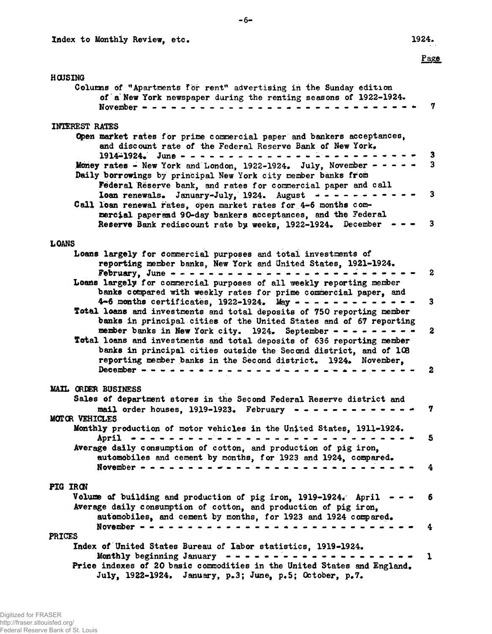## Page

#### H

| HOUSING                                                                                                                                                                                                |                         |
|--------------------------------------------------------------------------------------------------------------------------------------------------------------------------------------------------------|-------------------------|
| Columns of "Apartments for rent" advertising in the Sunday edition<br>of a New York newspaper during the renting seasons of 1922-1924.<br>November $- - - - - -$                                       | 7                       |
| <b>INTEREST RATES</b>                                                                                                                                                                                  |                         |
| Open market rates for prime commercial paper and bankers acceptances,                                                                                                                                  |                         |
| and discount rate of the Federal Reserve Bank of New York,                                                                                                                                             |                         |
| $1914 - 1924$ . June - - - - - - - -                                                                                                                                                                   | З                       |
| Money rates - New York and London, 1922-1924. July, November - - -<br>Daily borrowings by principal New York city member banks from                                                                    | $\overline{\mathbf{3}}$ |
| <b>Federal Reserve bank, and rates for commercial paper and call</b>                                                                                                                                   |                         |
| <b>Ioan renewals.</b> January-July, 1924. August $\rightarrow$ $\rightarrow$ $\rightarrow$ $\rightarrow$ $\rightarrow$ $\rightarrow$<br>Call loan renewal rates, open market rates for 4-6 months com- | $\overline{\mathbf{3}}$ |
| mercial paperand 90-day bankers acceptances, and the Federal                                                                                                                                           |                         |
| Reserve Bank rediscount rate by weeks, 1922-1924. December                                                                                                                                             | $\mathbf{3}$            |
|                                                                                                                                                                                                        |                         |
| <b>LOANS</b>                                                                                                                                                                                           |                         |
| Loans largely for commercial purposes and total investments of<br>reporting member banks, New York and United States, 1921-1924.                                                                       |                         |
| February, June - - - - - - - - - - - - - - - -                                                                                                                                                         | $\boldsymbol{2}$        |
| Loans largely for commercial purposes of all weekly reporting member                                                                                                                                   |                         |
| banks compared with weekly rates for prime commercial paper, and                                                                                                                                       |                         |
| 4-6 months certificates, 1922-1924. May $- - - - - - - -$                                                                                                                                              | $\mathbf{3}$            |
| Total loans and investments and total deposits of 750 reporting member<br>banks in principal cities of the United States and of 67 reporting                                                           |                         |
| member banks in New York city. 1924. September - - - - - - -                                                                                                                                           | $\boldsymbol{2}$        |
| Total loans and investments and total deposits of 636 reporting member                                                                                                                                 |                         |
| banks in principal cities outside the Second district, and of 108                                                                                                                                      |                         |
| reporting member banks in the Second district. 1924. November,<br>December ----------------------                                                                                                      | $\boldsymbol{z}$        |
|                                                                                                                                                                                                        |                         |
| MAIL ORDER BUSINESS                                                                                                                                                                                    |                         |
| Sales of department stores in the Second Federal Reserve district and                                                                                                                                  |                         |
|                                                                                                                                                                                                        | 7                       |
| MOTOR VEHICLES<br>Monthly production of motor vehicles in the United States, 1911-1924.                                                                                                                |                         |
| April                                                                                                                                                                                                  | -5                      |
| Average daily consumption of cotton, and production of pig iron,                                                                                                                                       |                         |
| automobiles and cement by months, for 1923 and 1924, compared.                                                                                                                                         |                         |
| November $- - - - - - - -$                                                                                                                                                                             | 4                       |
| PIG IRON                                                                                                                                                                                               |                         |
| Volume of building and production of pig iron, 1919-1924. April                                                                                                                                        | 6                       |
| Average daily consumption of cotton, and production of pig iron,                                                                                                                                       |                         |
| automobiles, and cement by months, for 1923 and 1924 compared.                                                                                                                                         |                         |
| November $- - - -$                                                                                                                                                                                     | 4                       |
| <b>PRICES</b><br>Index of United States Bureau of Labor statistics, 1919-1924.                                                                                                                         |                         |
| Monthly beginning January                                                                                                                                                                              | 1                       |
| Price indexes of 20 basic commodities in the United States and England.                                                                                                                                |                         |

July, 1922-1924. January, p.3; June, p.5; October, p.7.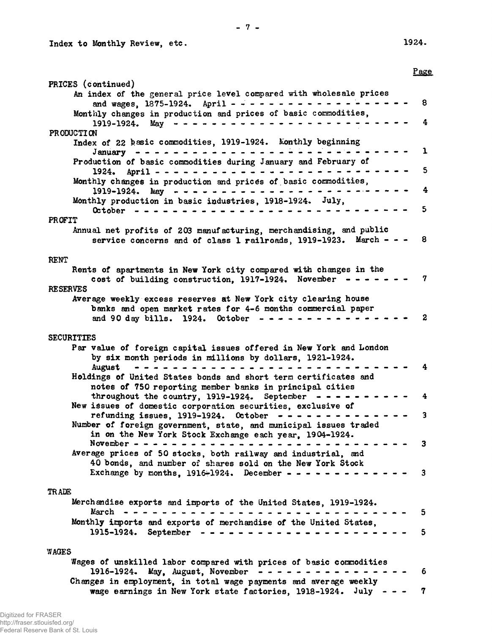Index to Monthly Review, etc. 1924.

|                                                                                                                                   | Page                    |
|-----------------------------------------------------------------------------------------------------------------------------------|-------------------------|
| PRICES (continued)                                                                                                                |                         |
| An index of the general price level compared with wholesale prices                                                                |                         |
| and wages, 1875-1924. April - - - - - - - - - - - - - - - - - -<br>Monthly changes in production and prices of basic commodities, | 8                       |
| 1919-1924. May ----------------------                                                                                             | 4                       |
| PRODUCTION                                                                                                                        |                         |
| Index of 22 basic commodities, 1919-1924. Monthly beginning                                                                       |                         |
| January ----------------------                                                                                                    | $\mathbf 1$             |
| Production of basic commodities during January and February of                                                                    | 5                       |
| Monthly changes in production and prices of basic commodities,                                                                    |                         |
|                                                                                                                                   | 4                       |
| Monthly production in basic industries, 1918-1924. July,                                                                          |                         |
|                                                                                                                                   | 5                       |
| PROFIT                                                                                                                            |                         |
| Annual net profits of 203 manufacturing, merchandising, and public                                                                |                         |
| service concerns and of class 1 railroads, 1919-1923. March - - -                                                                 | 8                       |
| <b>RENT</b>                                                                                                                       |                         |
| Rents of apartments in New York city compared with changes in the                                                                 |                         |
| cost of building construction, $1917-1924$ . November - - - - - - -                                                               | 7                       |
| <b>RESERVES</b>                                                                                                                   |                         |
| Average weekly excess reserves at New York city clearing house                                                                    |                         |
| banks and open market rates for 4-6 months commercial paper                                                                       |                         |
| and 90 day bills. 1924. October $- - - - - - - - - - - - -$                                                                       | 2                       |
| <b>SECURITIES</b>                                                                                                                 |                         |
| Par value of foreign capital issues offered in New York and London                                                                |                         |
| by six month periods in millions by dollars, 1921-1924.                                                                           |                         |
| August ----------------------                                                                                                     | 4                       |
| Holdings of United States bonds and short term certificates and                                                                   |                         |
| notes of 750 reporting member banks in principal cities                                                                           |                         |
| throughout the country, 1919-1924. September - - - - - - - - - -                                                                  | 4                       |
| New issues of domestic corporation securities, exclusive of<br>refunding issues, 1919-1924. October --------------                | 3                       |
| Number of foreign government, state, and municipal issues traded                                                                  |                         |
| in on the New York Stock Exchange each year. 1904-1924.                                                                           |                         |
| November $ -$                                                                                                                     | 3                       |
| Average prices of 50 stocks, both railway and industrial, and                                                                     |                         |
| 40 bonds, and number of shares sold on the New York Stock                                                                         | $\overline{\mathbf{3}}$ |
| Exchange by months, $1916-1924$ . December - - - - - - - - -                                                                      |                         |
| <b>TRADE</b>                                                                                                                      |                         |
| Merchandise exports and imports of the United States, 1919-1924.                                                                  |                         |
| March                                                                                                                             | 5                       |
| Monthly imports and exports of merchandise of the United States,                                                                  |                         |
|                                                                                                                                   | 5                       |
|                                                                                                                                   |                         |
| WAGES                                                                                                                             |                         |
| Wages of unskilled labor compared with prices of basic commodities<br>1916-1924. May, August, November<br>--------------          | 6                       |
| Changes in employment, in total wage payments and average weekly                                                                  |                         |
| wage earnings in New York state factories, $1918-1924$ . July - - -                                                               | 7                       |